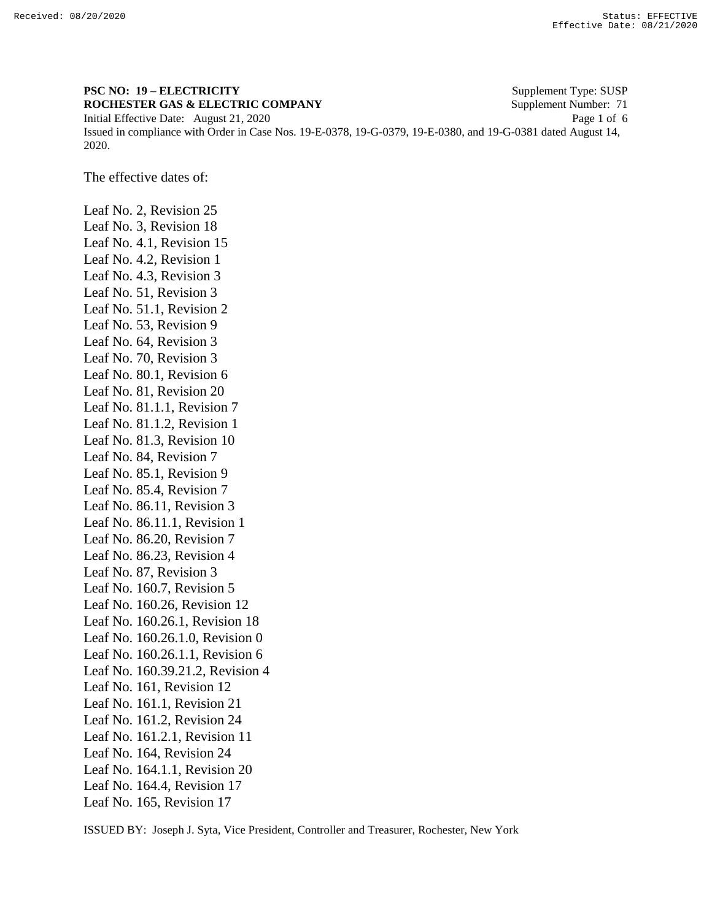2020.

## **PSC NO: 19 – ELECTRICITY** Supplement Type: SUSP **ROCHESTER GAS & ELECTRIC COMPANY** Supplement Number: 71 Initial Effective Date: August 21, 2020 Page 1 of 6 Issued in compliance with Order in Case Nos. 19-E-0378, 19-G-0379, 19-E-0380, and 19-G-0381 dated August 14,

The effective dates of:

Leaf No. 2, Revision 25 Leaf No. 3, Revision 18 Leaf No. 4.1, Revision 15 Leaf No. 4.2, Revision 1 Leaf No. 4.3, Revision 3 Leaf No. 51, Revision 3 Leaf No. 51.1, Revision 2 Leaf No. 53, Revision 9 Leaf No. 64, Revision 3 Leaf No. 70, Revision 3 Leaf No. 80.1, Revision 6 Leaf No. 81, Revision 20 Leaf No. 81.1.1, Revision 7 Leaf No. 81.1.2, Revision 1 Leaf No. 81.3, Revision 10 Leaf No. 84, Revision 7 Leaf No. 85.1, Revision 9 Leaf No. 85.4, Revision 7 Leaf No. 86.11, Revision 3 Leaf No. 86.11.1, Revision 1 Leaf No. 86.20, Revision 7 Leaf No. 86.23, Revision 4 Leaf No. 87, Revision 3 Leaf No. 160.7, Revision 5 Leaf No. 160.26, Revision 12 Leaf No. 160.26.1, Revision 18 Leaf No. 160.26.1.0, Revision 0 Leaf No. 160.26.1.1, Revision 6 Leaf No. 160.39.21.2, Revision 4 Leaf No. 161, Revision 12 Leaf No. 161.1, Revision 21 Leaf No. 161.2, Revision 24 Leaf No. 161.2.1, Revision 11 Leaf No. 164, Revision 24 Leaf No. 164.1.1, Revision 20 Leaf No. 164.4, Revision 17 Leaf No. 165, Revision 17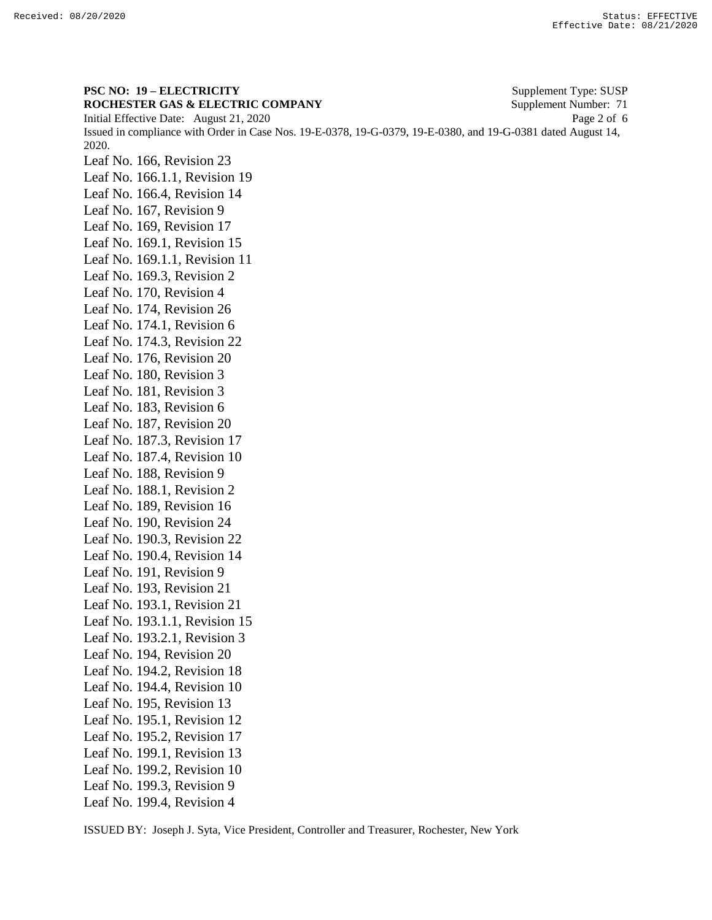**PSC NO: 19 – ELECTRICITY** Supplement Type: SUSP **ROCHESTER GAS & ELECTRIC COMPANY** Supplement Number: 71 Initial Effective Date: August 21, 2020 Page 2 of 6 Issued in compliance with Order in Case Nos. 19-E-0378, 19-G-0379, 19-E-0380, and 19-G-0381 dated August 14, 2020. Leaf No. 166, Revision 23 Leaf No. 166.1.1, Revision 19 Leaf No. 166.4, Revision 14 Leaf No. 167, Revision 9 Leaf No. 169, Revision 17 Leaf No. 169.1, Revision 15 Leaf No. 169.1.1, Revision 11 Leaf No. 169.3, Revision 2 Leaf No. 170, Revision 4 Leaf No. 174, Revision 26 Leaf No. 174.1, Revision 6 Leaf No. 174.3, Revision 22 Leaf No. 176, Revision 20 Leaf No. 180, Revision 3 Leaf No. 181, Revision 3 Leaf No. 183, Revision 6 Leaf No. 187, Revision 20 Leaf No. 187.3, Revision 17 Leaf No. 187.4, Revision 10 Leaf No. 188, Revision 9 Leaf No. 188.1, Revision 2 Leaf No. 189, Revision 16 Leaf No. 190, Revision 24 Leaf No. 190.3, Revision 22 Leaf No. 190.4, Revision 14 Leaf No. 191, Revision 9 Leaf No. 193, Revision 21 Leaf No. 193.1, Revision 21 Leaf No. 193.1.1, Revision 15 Leaf No. 193.2.1, Revision 3 Leaf No. 194, Revision 20 Leaf No. 194.2, Revision 18 Leaf No. 194.4, Revision 10 Leaf No. 195, Revision 13 Leaf No. 195.1, Revision 12 Leaf No. 195.2, Revision 17 Leaf No. 199.1, Revision 13 Leaf No. 199.2, Revision 10 Leaf No. 199.3, Revision 9 Leaf No. 199.4, Revision 4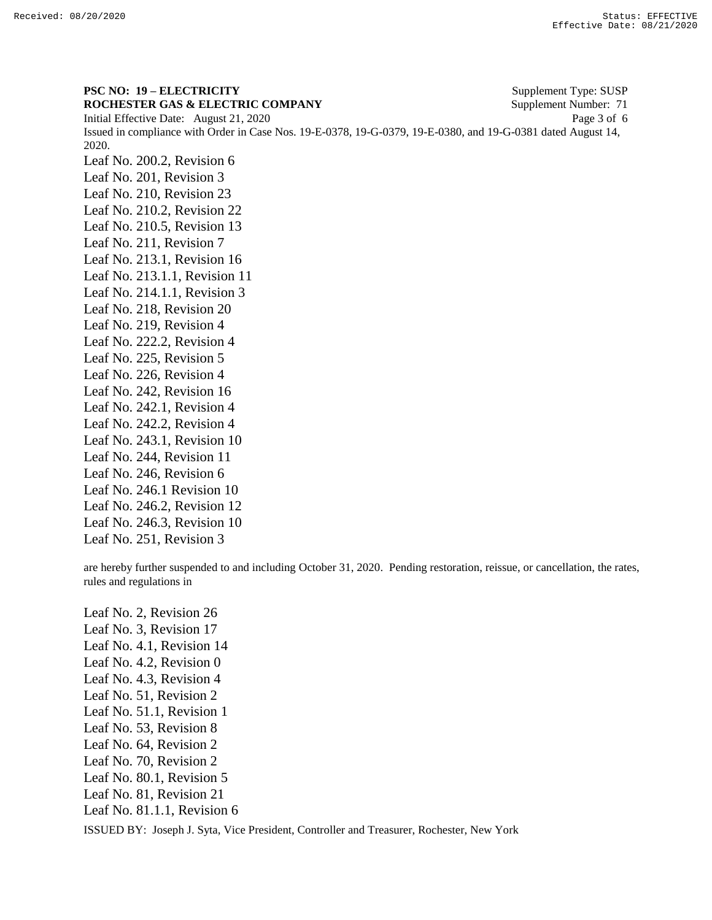**PSC NO: 19 – ELECTRICITY** Supplement Type: SUSP **ROCHESTER GAS & ELECTRIC COMPANY** Supplement Number: 71 Initial Effective Date: August 21, 2020 Page 3 of 6 Issued in compliance with Order in Case Nos. 19-E-0378, 19-G-0379, 19-E-0380, and 19-G-0381 dated August 14, 2020. Leaf No. 200.2, Revision 6 Leaf No. 201, Revision 3 Leaf No. 210, Revision 23 Leaf No. 210.2, Revision 22 Leaf No. 210.5, Revision 13 Leaf No. 211, Revision 7 Leaf No. 213.1, Revision 16 Leaf No. 213.1.1, Revision 11 Leaf No. 214.1.1, Revision 3 Leaf No. 218, Revision 20 Leaf No. 219, Revision 4 Leaf No. 222.2, Revision 4 Leaf No. 225, Revision 5 Leaf No. 226, Revision 4 Leaf No. 242, Revision 16 Leaf No. 242.1, Revision 4 Leaf No. 242.2, Revision 4 Leaf No. 243.1, Revision 10 Leaf No. 244, Revision 11 Leaf No. 246, Revision 6 Leaf No. 246.1 Revision 10 Leaf No. 246.2, Revision 12 Leaf No. 246.3, Revision 10 Leaf No. 251, Revision 3

are hereby further suspended to and including October 31, 2020. Pending restoration, reissue, or cancellation, the rates, rules and regulations in

Leaf No. 2, Revision 26 Leaf No. 3, Revision 17 Leaf No. 4.1, Revision 14 Leaf No. 4.2, Revision 0 Leaf No. 4.3, Revision 4 Leaf No. 51, Revision 2 Leaf No. 51.1, Revision 1 Leaf No. 53, Revision 8 Leaf No. 64, Revision 2 Leaf No. 70, Revision 2 Leaf No. 80.1, Revision 5 Leaf No. 81, Revision 21 Leaf No. 81.1.1, Revision 6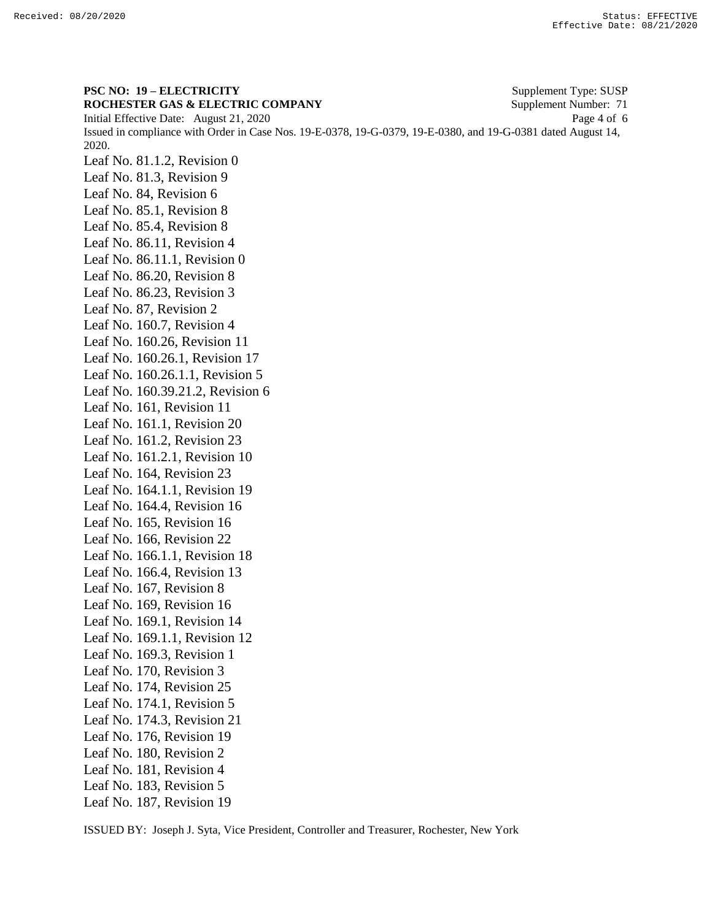**PSC NO: 19 – ELECTRICITY** Supplement Type: SUSP **ROCHESTER GAS & ELECTRIC COMPANY** Supplement Number: 71 Initial Effective Date: August 21, 2020 Page 4 of 6 Issued in compliance with Order in Case Nos. 19-E-0378, 19-G-0379, 19-E-0380, and 19-G-0381 dated August 14, 2020. Leaf No. 81.1.2, Revision 0 Leaf No. 81.3, Revision 9 Leaf No. 84, Revision 6 Leaf No. 85.1, Revision 8 Leaf No. 85.4, Revision 8 Leaf No. 86.11, Revision 4 Leaf No. 86.11.1, Revision 0 Leaf No. 86.20, Revision 8 Leaf No. 86.23, Revision 3 Leaf No. 87, Revision 2 Leaf No. 160.7, Revision 4 Leaf No. 160.26, Revision 11 Leaf No. 160.26.1, Revision 17 Leaf No. 160.26.1.1, Revision 5 Leaf No. 160.39.21.2, Revision 6 Leaf No. 161, Revision 11 Leaf No. 161.1, Revision 20 Leaf No. 161.2, Revision 23 Leaf No. 161.2.1, Revision 10 Leaf No. 164, Revision 23 Leaf No. 164.1.1, Revision 19 Leaf No. 164.4, Revision 16 Leaf No. 165, Revision 16 Leaf No. 166, Revision 22 Leaf No. 166.1.1, Revision 18 Leaf No. 166.4, Revision 13 Leaf No. 167, Revision 8 Leaf No. 169, Revision 16 Leaf No. 169.1, Revision 14 Leaf No. 169.1.1, Revision 12 Leaf No. 169.3, Revision 1 Leaf No. 170, Revision 3 Leaf No. 174, Revision 25 Leaf No. 174.1, Revision 5 Leaf No. 174.3, Revision 21 Leaf No. 176, Revision 19 Leaf No. 180, Revision 2 Leaf No. 181, Revision 4 Leaf No. 183, Revision 5 Leaf No. 187, Revision 19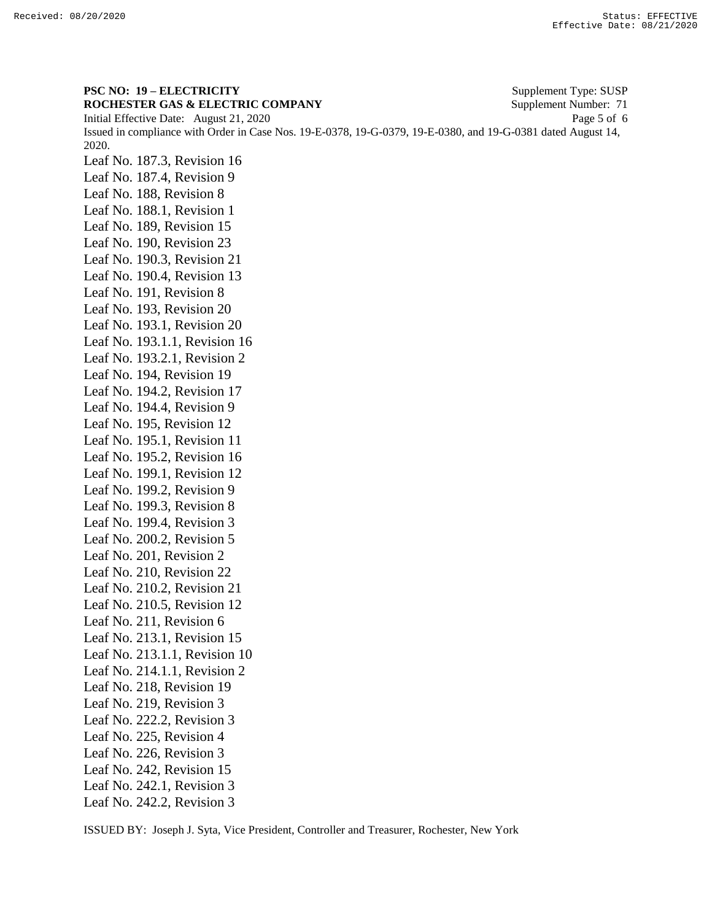**PSC NO: 19 – ELECTRICITY** Supplement Type: SUSP **ROCHESTER GAS & ELECTRIC COMPANY** Supplement Number: 71 Initial Effective Date: August 21, 2020 Page 5 of 6 Issued in compliance with Order in Case Nos. 19-E-0378, 19-G-0379, 19-E-0380, and 19-G-0381 dated August 14, 2020. Leaf No. 187.3, Revision 16 Leaf No. 187.4, Revision 9 Leaf No. 188, Revision 8 Leaf No. 188.1, Revision 1 Leaf No. 189, Revision 15 Leaf No. 190, Revision 23 Leaf No. 190.3, Revision 21 Leaf No. 190.4, Revision 13 Leaf No. 191, Revision 8 Leaf No. 193, Revision 20 Leaf No. 193.1, Revision 20 Leaf No. 193.1.1, Revision 16 Leaf No. 193.2.1, Revision 2 Leaf No. 194, Revision 19 Leaf No. 194.2, Revision 17 Leaf No. 194.4, Revision 9 Leaf No. 195, Revision 12 Leaf No. 195.1, Revision 11 Leaf No. 195.2, Revision 16 Leaf No. 199.1, Revision 12 Leaf No. 199.2, Revision 9 Leaf No. 199.3, Revision 8 Leaf No. 199.4, Revision 3 Leaf No. 200.2, Revision 5 Leaf No. 201, Revision 2 Leaf No. 210, Revision 22 Leaf No. 210.2, Revision 21 Leaf No. 210.5, Revision 12 Leaf No. 211, Revision 6 Leaf No. 213.1, Revision 15 Leaf No. 213.1.1, Revision 10 Leaf No. 214.1.1, Revision 2 Leaf No. 218, Revision 19 Leaf No. 219, Revision 3 Leaf No. 222.2, Revision 3 Leaf No. 225, Revision 4 Leaf No. 226, Revision 3 Leaf No. 242, Revision 15 Leaf No. 242.1, Revision 3 Leaf No. 242.2, Revision 3